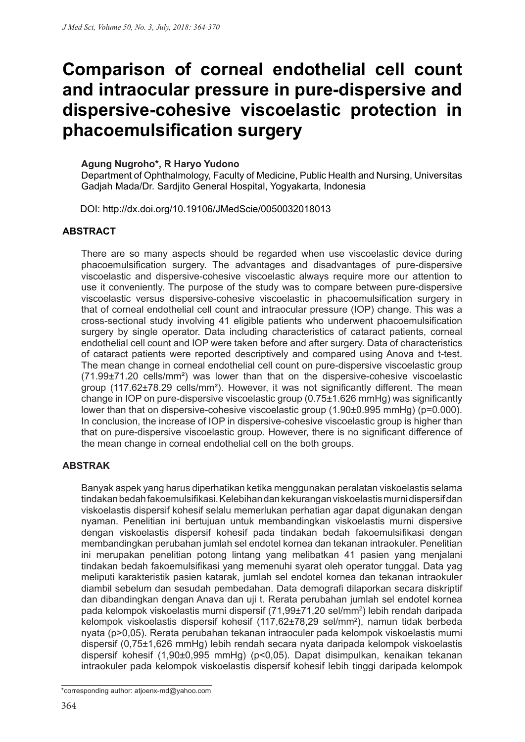# **Comparison of corneal endothelial cell count and intraocular pressure in pure-dispersive and dispersive-cohesive viscoelastic protection in phacoemulsification surgery**

#### **Agung Nugroho\*, R Haryo Yudono**

Department of Ophthalmology, Faculty of Medicine, Public Health and Nursing, Universitas Gadjah Mada/Dr. Sardjito General Hospital, Yogyakarta, Indonesia

DOI: http://dx.doi.org/10.19106/JMedScie/0050032018013

#### **ABSTRACT**

There are so many aspects should be regarded when use viscoelastic device during phacoemulsification surgery. The advantages and disadvantages of pure-dispersive viscoelastic and dispersive-cohesive viscoelastic always require more our attention to use it conveniently. The purpose of the study was to compare between pure-dispersive viscoelastic versus dispersive-cohesive viscoelastic in phacoemulsification surgery in that of corneal endothelial cell count and intraocular pressure (IOP) change. This was a cross-sectional study involving 41 eligible patients who underwent phacoemulsification surgery by single operator. Data including characteristics of cataract patients, corneal endothelial cell count and IOP were taken before and after surgery. Data of characteristics of cataract patients were reported descriptively and compared using Anova and t-test. The mean change in corneal endothelial cell count on pure-dispersive viscoelastic group (71.99±71.20 cells/mm²) was lower than that on the dispersive-cohesive viscoelastic group (117.62±78.29 cells/mm²). However, it was not significantly different. The mean change in IOP on pure-dispersive viscoelastic group (0.75±1.626 mmHg) was significantly lower than that on dispersive-cohesive viscoelastic group (1.90±0.995 mmHg) (p=0.000). In conclusion, the increase of IOP in dispersive-cohesive viscoelastic group is higher than that on pure-dispersive viscoelastic group. However, there is no significant difference of the mean change in corneal endothelial cell on the both groups.

#### **ABSTRAK**

Banyak aspek yang harus diperhatikan ketika menggunakan peralatan viskoelastis selama tindakan bedah fakoemulsifikasi. Kelebihan dan kekurangan viskoelastis murni dispersif dan viskoelastis dispersif kohesif selalu memerlukan perhatian agar dapat digunakan dengan nyaman. Penelitian ini bertujuan untuk membandingkan viskoelastis murni dispersive dengan viskoelastis dispersif kohesif pada tindakan bedah fakoemulsifikasi dengan membandingkan perubahan jumlah sel endotel kornea dan tekanan intraokuler. Penelitian ini merupakan penelitian potong lintang yang melibatkan 41 pasien yang menjalani tindakan bedah fakoemulsifikasi yang memenuhi syarat oleh operator tunggal. Data yag meliputi karakteristik pasien katarak, jumlah sel endotel kornea dan tekanan intraokuler diambil sebelum dan sesudah pembedahan. Data demografi dilaporkan secara diskriptif dan dibandingkan dengan Anava dan uji t. Rerata perubahan jumlah sel endotel kornea pada kelompok viskoelastis murni dispersif (71,99±71,20 sel/mm2 ) lebih rendah daripada kelompok viskoelastis dispersif kohesif (117,62±78,29 sel/mm<sup>2</sup>), namun tidak berbeda nyata (p>0,05). Rerata perubahan tekanan intraoculer pada kelompok viskoelastis murni dispersif (0,75±1,626 mmHg) lebih rendah secara nyata daripada kelompok viskoelastis dispersif kohesif (1,90±0,995 mmHg) (p<0,05). Dapat disimpulkan, kenaikan tekanan intraokuler pada kelompok viskoelastis dispersif kohesif lebih tinggi daripada kelompok

\*corresponding author: atjoenx-md@yahoo.com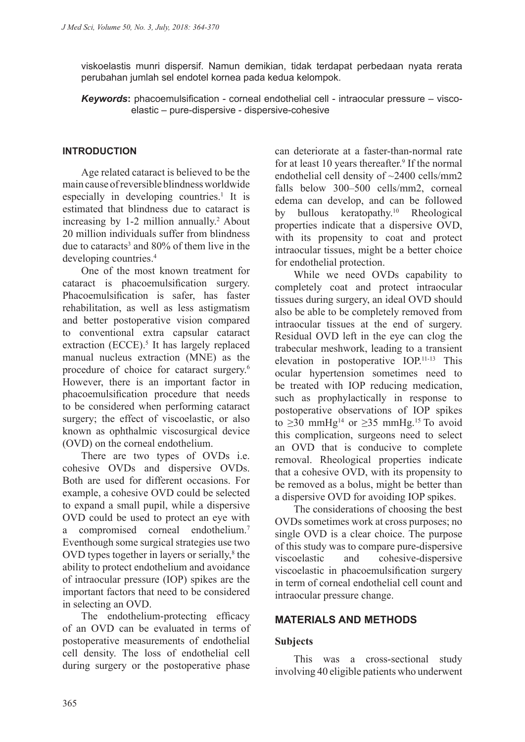viskoelastis munri dispersif. Namun demikian, tidak terdapat perbedaan nyata rerata perubahan jumlah sel endotel kornea pada kedua kelompok.

*Keywords***:** phacoemulsification - corneal endothelial cell - intraocular pressure – viscoelastic – pure-dispersive - dispersive-cohesive

#### **INTRODUCTION**

Age related cataract is believed to be the main cause of reversible blindness worldwide especially in developing countries.<sup>1</sup> It is estimated that blindness due to cataract is increasing by  $1-2$  million annually.<sup>2</sup> About 20 million individuals suffer from blindness due to cataracts<sup>3</sup> and  $80\%$  of them live in the developing countries.4

One of the most known treatment for cataract is phacoemulsification surgery. Phacoemulsification is safer, has faster rehabilitation, as well as less astigmatism and better postoperative vision compared to conventional extra capsular cataract extraction (ECCE).<sup>5</sup> It has largely replaced manual nucleus extraction (MNE) as the procedure of choice for cataract surgery.6 However, there is an important factor in phacoemulsification procedure that needs to be considered when performing cataract surgery; the effect of viscoelastic, or also known as ophthalmic viscosurgical device (OVD) on the corneal endothelium.

There are two types of OVDs i.e. cohesive OVDs and dispersive OVDs. Both are used for different occasions. For example, a cohesive OVD could be selected to expand a small pupil, while a dispersive OVD could be used to protect an eye with a compromised corneal endothelium.7 Eventhough some surgical strategies use two OVD types together in layers or serially, $8$  the ability to protect endothelium and avoidance of intraocular pressure (IOP) spikes are the important factors that need to be considered in selecting an OVD.

The endothelium-protecting efficacy of an OVD can be evaluated in terms of postoperative measurements of endothelial cell density. The loss of endothelial cell during surgery or the postoperative phase can deteriorate at a faster-than-normal rate for at least 10 years thereafter.<sup>9</sup> If the normal endothelial cell density of ~2400 cells/mm2 falls below 300–500 cells/mm2, corneal edema can develop, and can be followed by bullous keratopathy.10 Rheological properties indicate that a dispersive OVD, with its propensity to coat and protect intraocular tissues, might be a better choice for endothelial protection.

While we need OVDs capability to completely coat and protect intraocular tissues during surgery, an ideal OVD should also be able to be completely removed from intraocular tissues at the end of surgery. Residual OVD left in the eye can clog the trabecular meshwork, leading to a transient elevation in postoperative IOP.11-13 This ocular hypertension sometimes need to be treated with IOP reducing medication, such as prophylactically in response to postoperative observations of IOP spikes to  $\geq$ 30 mmHg<sup>14</sup> or  $\geq$ 35 mmHg<sup>15</sup> To avoid this complication, surgeons need to select an OVD that is conducive to complete removal. Rheological properties indicate that a cohesive OVD, with its propensity to be removed as a bolus, might be better than a dispersive OVD for avoiding IOP spikes.

The considerations of choosing the best OVDs sometimes work at cross purposes; no single OVD is a clear choice. The purpose of this study was to compare pure-dispersive viscoelastic and cohesive-dispersive viscoelastic in phacoemulsification surgery in term of corneal endothelial cell count and intraocular pressure change.

#### **MATERIALS AND METHODS**

#### **Subjects**

This was a cross-sectional study involving 40 eligible patients who underwent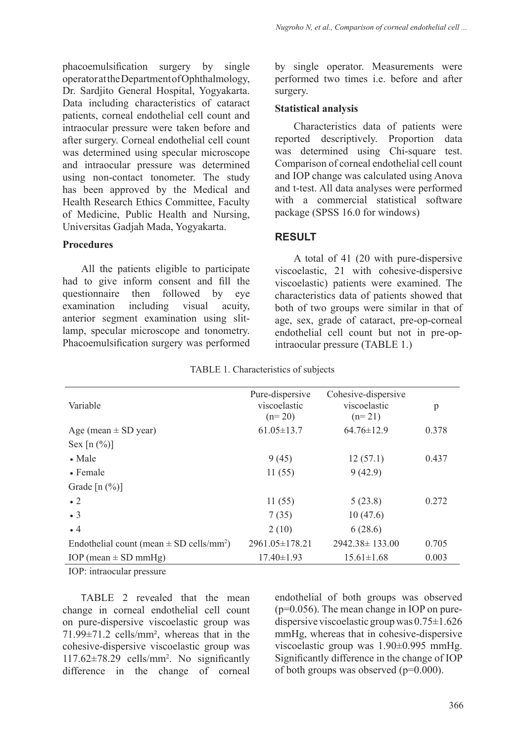phacoemulsification surgery by single operator at the Department of Ophthalmology, Dr. Sardjito General Hospital, Yogyakarta. Data including characteristics of cataract patients, corneal endothelial cell count and intraocular pressure were taken before and after surgery. Corneal endothelial cell count was determined using specular microscope and intraocular pressure was determined using non-contact tonometer. The study has been approved by the Medical and Health Research Ethics Committee, Faculty of Medicine, Public Health and Nursing, Universitas Gadjah Mada, Yogyakarta.

#### **Procedures**

All the patients eligible to participate had to give inform consent and fill the questionnaire then followed by eye examination including visual acuity, anterior segment examination using slitlamp, specular microscope and tonometry. Phacoemulsification surgery was performed by single operator. Measurements were performed two times i.e. before and after surgery.

#### **Statistical analysis**

Characteristics data of patients were reported descriptively. Proportion data was determined using Chi-square test. Comparison of corneal endothelial cell count and IOP change was calculated using Anova and t-test. All data analyses were performed with a commercial statistical software package (SPSS 16.0 for windows)

### **RESULT**

A total of 41 (20 with pure-dispersive viscoelastic, 21 with cohesive-dispersive viscoelastic) patients were examined. The characteristics data of patients showed that both of two groups were similar in that of age, sex, grade of cataract, pre-op-corneal endothelial cell count but not in pre-opintraocular pressure (TABLE 1.)

| Variable                                                 | Pure-dispersive<br>viscoelastic<br>$(n=20)$ | Cohesive-dispersive<br>viscoelastic<br>$(n=21)$ | p     |
|----------------------------------------------------------|---------------------------------------------|-------------------------------------------------|-------|
| Age (mean $\pm$ SD year)                                 | $61.05 \pm 13.7$                            | $64.76 \pm 12.9$                                | 0.378 |
| Sex $[n (%)]$                                            |                                             |                                                 |       |
| $\bullet$ Male                                           | 9(45)                                       | 12(57.1)                                        | 0.437 |
| $\bullet$ Female                                         | 11(55)                                      | 9(42.9)                                         |       |
| Grade $[n (%)]$                                          |                                             |                                                 |       |
| $\bullet$ 2                                              | 11(55)                                      | 5(23.8)                                         | 0.272 |
| $\bullet$ 3                                              | 7(35)                                       | 10(47.6)                                        |       |
| $\bullet$ 4                                              | 2(10)                                       | 6(28.6)                                         |       |
| Endothelial count (mean $\pm$ SD cells/mm <sup>2</sup> ) | $2961.05 \pm 178.21$                        | 2942.38 ± 133.00                                | 0.705 |
| IOP (mean $\pm$ SD mmHg)                                 | $17.40 \pm 1.93$                            | $15.61 \pm 1.68$                                | 0.003 |

TABLE 1. Characteristics of subjects

IOP: intraocular pressure

TABLE 2 revealed that the mean change in corneal endothelial cell count on pure-dispersive viscoelastic group was 71.99±71.2 cells/mm², whereas that in the cohesive-dispersive viscoelastic group was 117.62±78.29 cells/mm2 . No significantly difference in the change of corneal

endothelial of both groups was observed (p=0.056). The mean change in IOP on puredispersive viscoelastic group was 0.75±1.626 mmHg, whereas that in cohesive-dispersive viscoelastic group was 1.90±0.995 mmHg. Significantly difference in the change of IOP of both groups was observed (p=0.000).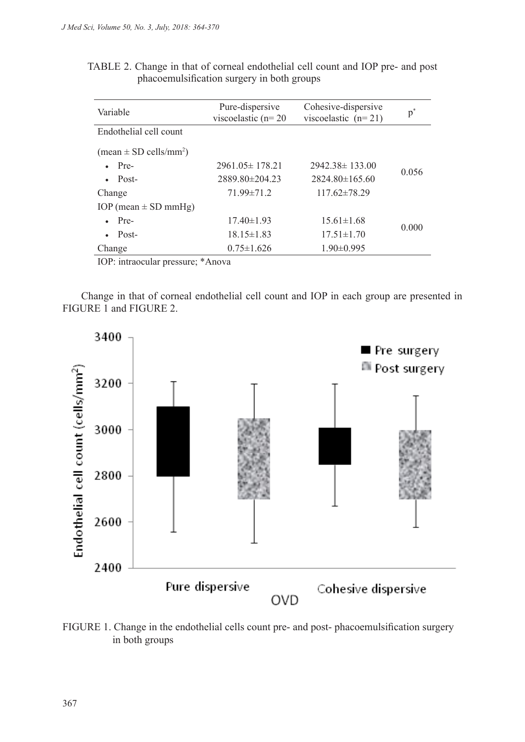| Variable                                         | Pure-dispersive<br>viscoelastic $(n=20)$ | Cohesive-dispersive<br>viscoelastic $(n=21)$ | $p^*$ |
|--------------------------------------------------|------------------------------------------|----------------------------------------------|-------|
| Endothelial cell count                           |                                          |                                              |       |
| $(\text{mean} \pm \text{SD} \text{ cells/mm}^2)$ |                                          |                                              |       |
| $\bullet$ Pre-                                   | $2961.05 \pm 178.21$                     | $2942.38 \pm 133.00$                         | 0.056 |
| Post-                                            | $2889.80\pm 204.23$                      | $2824.80\pm165.60$                           |       |
| Change                                           | $71.99 \pm 71.2$                         | $117.62\pm78.29$                             |       |
| IOP (mean $\pm$ SD mmHg)                         |                                          |                                              |       |
| Pre-                                             | $17.40 \pm 1.93$                         | $15.61 \pm 1.68$                             | 0.000 |
| Post-                                            | $18.15 \pm 1.83$                         | $17.51 \pm 1.70$                             |       |
| Change                                           | $0.75 \pm 1.626$                         | $1.90\pm 0.995$                              |       |

| TABLE 2. Change in that of corneal endothelial cell count and IOP pre- and post |  |
|---------------------------------------------------------------------------------|--|
| phacoemulsification surgery in both groups                                      |  |

IOP: intraocular pressure; \*Anova

Change in that of corneal endothelial cell count and IOP in each group are presented in FIGURE 1 and FIGURE 2.



FIGURE 1. Change in the endothelial cells count pre- and post- phacoemulsification surgery in both groups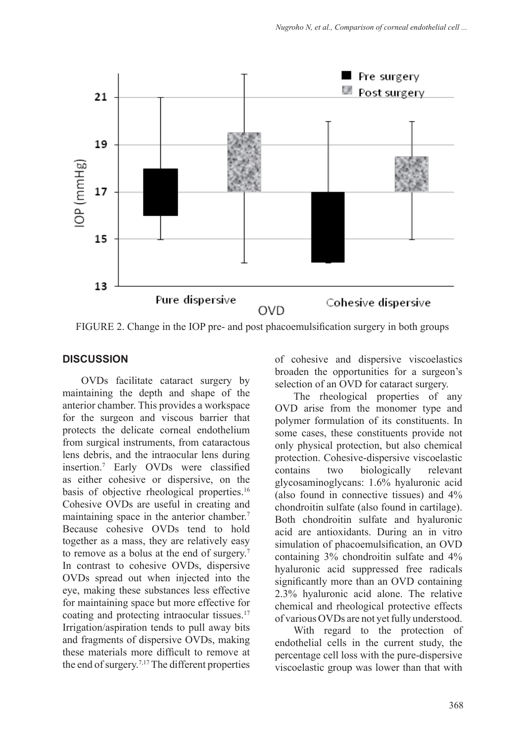

FIGURE 2. Change in the IOP pre- and post phacoemulsification surgery in both groups

# **DISCUSSION**

OVDs facilitate cataract surgery by maintaining the depth and shape of the anterior chamber. This provides a workspace for the surgeon and viscous barrier that protects the delicate corneal endothelium from surgical instruments, from cataractous lens debris, and the intraocular lens during insertion.7 Early OVDs were classified as either cohesive or dispersive, on the basis of objective rheological properties.<sup>16</sup> Cohesive OVDs are useful in creating and maintaining space in the anterior chamber.<sup>7</sup> Because cohesive OVDs tend to hold together as a mass, they are relatively easy to remove as a bolus at the end of surgery.<sup>7</sup> In contrast to cohesive OVDs, dispersive OVDs spread out when injected into the eye, making these substances less effective for maintaining space but more effective for coating and protecting intraocular tissues.17 Irrigation/aspiration tends to pull away bits and fragments of dispersive OVDs, making these materials more difficult to remove at the end of surgery.7,17 The different properties

of cohesive and dispersive viscoelastics broaden the opportunities for a surgeon's selection of an OVD for cataract surgery.

The rheological properties of any OVD arise from the monomer type and polymer formulation of its constituents. In some cases, these constituents provide not only physical protection, but also chemical protection. Cohesive-dispersive viscoelastic contains two biologically relevant glycosaminoglycans: 1.6% hyaluronic acid (also found in connective tissues) and 4% chondroitin sulfate (also found in cartilage). Both chondroitin sulfate and hyaluronic acid are antioxidants. During an in vitro simulation of phacoemulsification, an OVD containing 3% chondroitin sulfate and 4% hyaluronic acid suppressed free radicals significantly more than an OVD containing 2.3% hyaluronic acid alone. The relative chemical and rheological protective effects of various OVDs are not yet fully understood.

With regard to the protection of endothelial cells in the current study, the percentage cell loss with the pure-dispersive viscoelastic group was lower than that with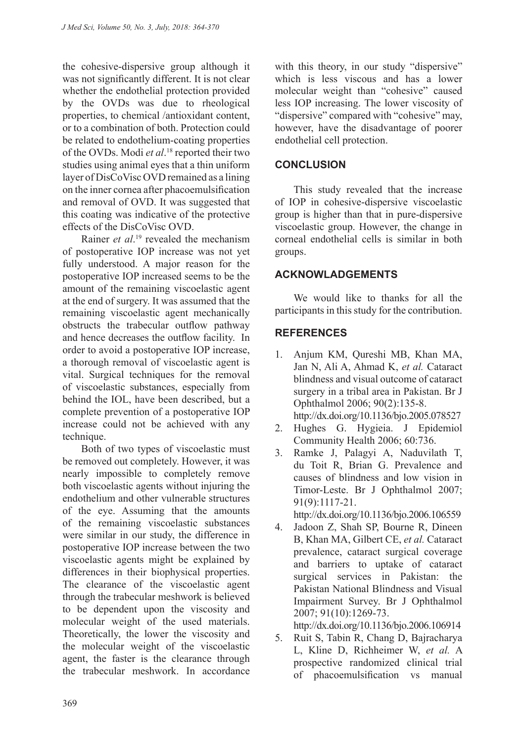the cohesive-dispersive group although it was not significantly different. It is not clear whether the endothelial protection provided by the OVDs was due to rheological properties, to chemical /antioxidant content, or to a combination of both. Protection could be related to endothelium-coating properties of the OVDs. Modi *et al*. 18 reported their two studies using animal eyes that a thin uniform layer of DisCoVisc OVD remained as a lining on the inner cornea after phacoemulsification and removal of OVD. It was suggested that this coating was indicative of the protective effects of the DisCoVisc OVD.

Rainer *et al*. 19 revealed the mechanism of postoperative IOP increase was not yet fully understood. A major reason for the postoperative IOP increased seems to be the amount of the remaining viscoelastic agent at the end of surgery. It was assumed that the remaining viscoelastic agent mechanically obstructs the trabecular outflow pathway and hence decreases the outflow facility. In order to avoid a postoperative IOP increase, a thorough removal of viscoelastic agent is vital. Surgical techniques for the removal of viscoelastic substances, especially from behind the IOL, have been described, but a complete prevention of a postoperative IOP increase could not be achieved with any technique.

Both of two types of viscoelastic must be removed out completely. However, it was nearly impossible to completely remove both viscoelastic agents without injuring the endothelium and other vulnerable structures of the eye. Assuming that the amounts of the remaining viscoelastic substances were similar in our study, the difference in postoperative IOP increase between the two viscoelastic agents might be explained by differences in their biophysical properties. The clearance of the viscoelastic agent through the trabecular meshwork is believed to be dependent upon the viscosity and molecular weight of the used materials. Theoretically, the lower the viscosity and the molecular weight of the viscoelastic agent, the faster is the clearance through the trabecular meshwork. In accordance with this theory, in our study "dispersive" which is less viscous and has a lower molecular weight than "cohesive" caused less IOP increasing. The lower viscosity of "dispersive" compared with "cohesive" may, however, have the disadvantage of poorer endothelial cell protection.

# **CONCLUSION**

This study revealed that the increase of IOP in cohesive-dispersive viscoelastic group is higher than that in pure-dispersive viscoelastic group. However, the change in corneal endothelial cells is similar in both groups.

## **ACKNOWLADGEMENTS**

We would like to thanks for all the participants in this study for the contribution.

# **REFERENCES**

- 1. Anjum KM, Qureshi MB, Khan MA, Jan N, Ali A, Ahmad K, *et al.* Cataract blindness and visual outcome of cataract surgery in a tribal area in Pakistan. Br J Ophthalmol 2006; 90(2):135-8. http://dx.doi.org/10.1136/bjo.2005.078527
- 2. Hughes G. Hygieia. J Epidemiol Community Health 2006; 60:736.
- 3. Ramke J, Palagyi A, Naduvilath T, du Toit R, Brian G. Prevalence and causes of blindness and low vision in Timor-Leste. Br J Ophthalmol 2007; 91(9):1117-21.

http://dx.doi.org/10.1136/bjo.2006.106559

4. Jadoon Z, Shah SP, Bourne R, Dineen B, Khan MA, Gilbert CE, *et al.* Cataract prevalence, cataract surgical coverage and barriers to uptake of cataract surgical services in Pakistan: the Pakistan National Blindness and Visual Impairment Survey. Br J Ophthalmol 2007; 91(10):1269-73.

http://dx.doi.org/10.1136/bjo.2006.106914

5. Ruit S, Tabin R, Chang D, Bajracharya L, Kline D, Richheimer W, *et al.* A prospective randomized clinical trial of phacoemulsification vs manual